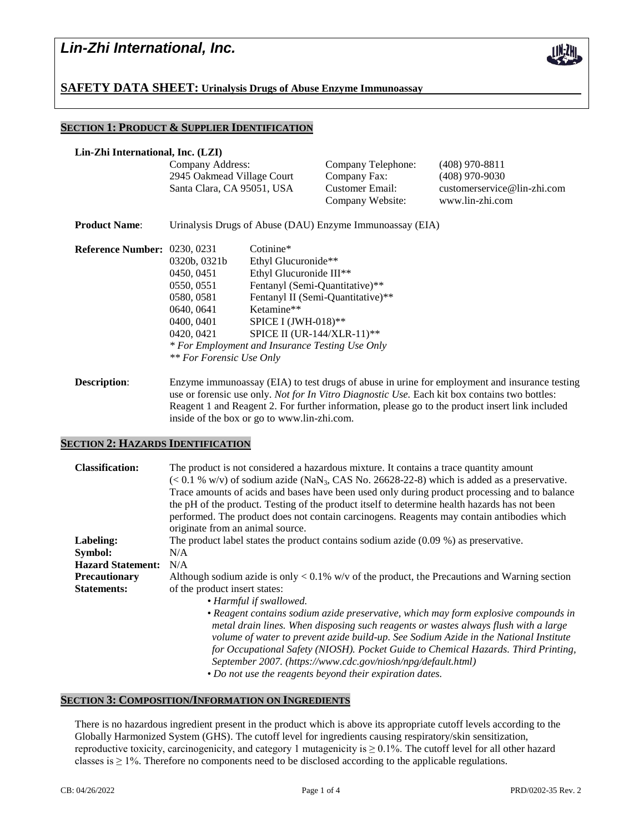

**SAFETY DATA SHEET: Urinalysis Drugs of Abuse Enzyme Immunoassay**

inside of the box or go to www.lin-zhi.com.

# **SECTION 1: PRODUCT & SUPPLIER IDENTIFICATION**

| Lin-Zhi International, Inc. (LZI)   |                                                                                                                                                                                                        |                                                                                                                                                                              |                                                                           |                                                                                        |  |  |
|-------------------------------------|--------------------------------------------------------------------------------------------------------------------------------------------------------------------------------------------------------|------------------------------------------------------------------------------------------------------------------------------------------------------------------------------|---------------------------------------------------------------------------|----------------------------------------------------------------------------------------|--|--|
|                                     | Company Address:<br>2945 Oakmead Village Court<br>Santa Clara, CA 95051, USA                                                                                                                           |                                                                                                                                                                              | Company Telephone:<br>Company Fax:<br>Customer Email:<br>Company Website: | $(408)$ 970-8811<br>$(408)$ 970-9030<br>customerservice@lin-zhi.com<br>www.lin-zhi.com |  |  |
| <b>Product Name:</b>                | Urinalysis Drugs of Abuse (DAU) Enzyme Immunoassay (EIA)                                                                                                                                               |                                                                                                                                                                              |                                                                           |                                                                                        |  |  |
| <b>Reference Number: 0230, 0231</b> | 0320b, 0321b<br>0450, 0451<br>0550, 0551<br>0580, 0581<br>0640, 0641<br>0400, 0401<br>0420, 0421<br>* For Employment and Insurance Testing Use Only<br><i>** For Forensic Use Only</i>                 | Cotinine*<br>Ethyl Glucuronide**<br>Ethyl Glucuronide III <sup>**</sup><br>Fentanyl (Semi-Quantitative)**<br>Ketamine**<br>SPICE I (JWH-018)**<br>SPICE II (UR-144/XLR-11)** | Fentanyl II (Semi-Quantitative)**                                         |                                                                                        |  |  |
| <b>Description:</b>                 | Enzyme immunoassay (EIA) to test drugs of abuse in urine for employment and insurance testing<br>use or forensic use only. <i>Not for In Vitro Diagnostic Use</i> . Each kit box contains two bottles: |                                                                                                                                                                              |                                                                           |                                                                                        |  |  |

Reagent 1 and Reagent 2. For further information, please go to the product insert link included

#### **SECTION 2: HAZARDS IDENTIFICATION**

| The product is not considered a hazardous mixture. It contains a trace quantity amount<br>$(< 0.1 %$ w/v) of sodium azide (NaN <sub>3</sub> , CAS No. 26628-22-8) which is added as a preservative.<br>Trace amounts of acids and bases have been used only during product processing and to balance<br>the pH of the product. Testing of the product itself to determine health hazards has not been<br>performed. The product does not contain carcinogens. Reagents may contain antibodies which<br>originate from an animal source. |
|-----------------------------------------------------------------------------------------------------------------------------------------------------------------------------------------------------------------------------------------------------------------------------------------------------------------------------------------------------------------------------------------------------------------------------------------------------------------------------------------------------------------------------------------|
| The product label states the product contains sodium azide $(0.09\%)$ as preservative.                                                                                                                                                                                                                                                                                                                                                                                                                                                  |
| N/A                                                                                                                                                                                                                                                                                                                                                                                                                                                                                                                                     |
| N/A                                                                                                                                                                                                                                                                                                                                                                                                                                                                                                                                     |
| Although sodium azide is only $< 0.1\%$ w/v of the product, the Precautions and Warning section                                                                                                                                                                                                                                                                                                                                                                                                                                         |
| of the product insert states:                                                                                                                                                                                                                                                                                                                                                                                                                                                                                                           |
| • Harmful if swallowed.                                                                                                                                                                                                                                                                                                                                                                                                                                                                                                                 |
| • Reagent contains sodium azide preservative, which may form explosive compounds in<br>metal drain lines. When disposing such reagents or wastes always flush with a large<br>volume of water to prevent azide build-up. See Sodium Azide in the National Institute<br>for Occupational Safety (NIOSH). Pocket Guide to Chemical Hazards. Third Printing,<br>September 2007. (https://www.cdc.gov/niosh/npg/default.html)<br>• Do not use the reagents beyond their expiration dates.                                                   |
|                                                                                                                                                                                                                                                                                                                                                                                                                                                                                                                                         |

## **SECTION 3: COMPOSITION/INFORMATION ON INGREDIENTS**

There is no hazardous ingredient present in the product which is above its appropriate cutoff levels according to the Globally Harmonized System (GHS). The cutoff level for ingredients causing respiratory/skin sensitization, reproductive toxicity, carcinogenicity, and category 1 mutagenicity is  $\geq 0.1\%$ . The cutoff level for all other hazard classes is  $\geq$  1%. Therefore no components need to be disclosed according to the applicable regulations.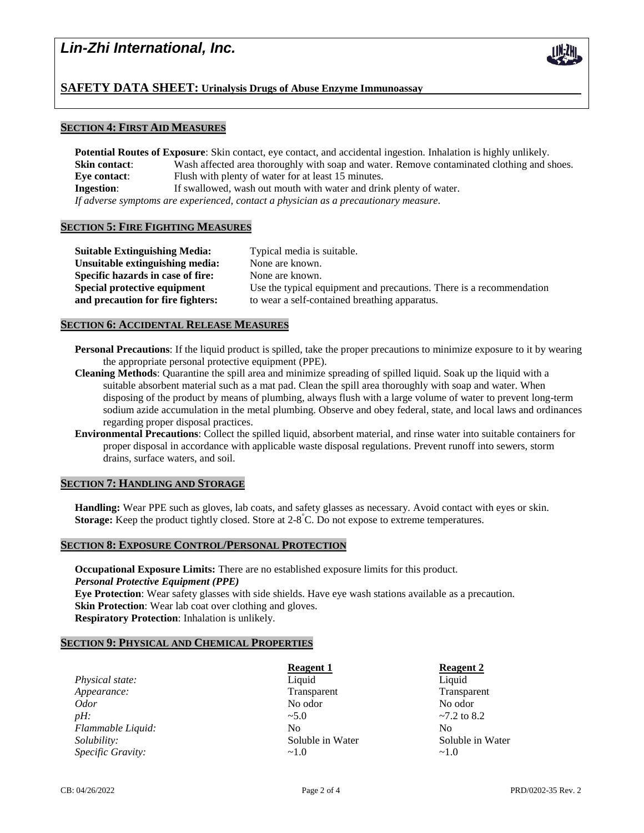

## **SECTION 4: FIRST AID MEASURES**

**Potential Routes of Exposure**: Skin contact, eye contact, and accidental ingestion. Inhalation is highly unlikely. **Skin contact:** Wash affected area thoroughly with soap and water. Remove contaminated clothing and shoes. **Eye contact:** Flush with plenty of water for at least 15 minutes. **Ingestion:** If swallowed, wash out mouth with water and drink plenty of water. *If adverse symptoms are experienced, contact a physician as a precautionary measure.*

## **SECTION 5: FIRE FIGHTING MEASURES**

| <b>Suitable Extinguishing Media:</b> | Typical media is suitable.                                           |
|--------------------------------------|----------------------------------------------------------------------|
| Unsuitable extinguishing media:      | None are known.                                                      |
| Specific hazards in case of fire:    | None are known.                                                      |
| Special protective equipment         | Use the typical equipment and precautions. There is a recommendation |
| and precaution for fire fighters:    | to wear a self-contained breathing apparatus.                        |
|                                      |                                                                      |

#### **SECTION 6: ACCIDENTAL RELEASE MEASURES**

- **Personal Precautions**: If the liquid product is spilled, take the proper precautions to minimize exposure to it by wearing the appropriate personal protective equipment (PPE).
- **Cleaning Methods**: Quarantine the spill area and minimize spreading of spilled liquid. Soak up the liquid with a suitable absorbent material such as a mat pad. Clean the spill area thoroughly with soap and water. When disposing of the product by means of plumbing, always flush with a large volume of water to prevent long-term sodium azide accumulation in the metal plumbing. Observe and obey federal, state, and local laws and ordinances regarding proper disposal practices.
- **Environmental Precautions**: Collect the spilled liquid, absorbent material, and rinse water into suitable containers for proper disposal in accordance with applicable waste disposal regulations. Prevent runoff into sewers, storm drains, surface waters, and soil.

### **SECTION 7: HANDLING AND STORAGE**

**Handling:** Wear PPE such as gloves, lab coats, and safety glasses as necessary. Avoid contact with eyes or skin. Storage: Keep the product tightly closed. Store at 2-8<sup>°</sup>C. Do not expose to extreme temperatures.

# **SECTION 8: EXPOSURE CONTROL/PERSONAL PROTECTION**

**Occupational Exposure Limits:** There are no established exposure limits for this product. *Personal Protective Equipment (PPE)* **Eye Protection**: Wear safety glasses with side shields. Have eye wash stations available as a precaution. **Skin Protection**: Wear lab coat over clothing and gloves.

**Respiratory Protection**: Inhalation is unlikely.

## **SECTION 9: PHYSICAL AND CHEMICAL PROPERTIES**

**Physical state:** Liquid Liquid Liquid Liquid Liquid Liquid Liquid Liquid Liquid Liquid Liquid Liquid Liquid Liquid Liquid Liquid Liquid Liquid Liquid Liquid Liquid Liquid Liquid Liquid Liquid Liquid Liquid Liquid Liquid L *Appearance:* Transparent Transparent Transparent Transparent No odor No odor *Odor* No odor No odor No odor No odor *pH:*  $\sim$  5.0  $\sim$  7.2 to 8.2 *Flammable Liquid:* No No No No No *Solubility:* Soluble in Water Soluble in Water *Specific Gravity:*  $\sim$ 1.0  $\sim$ 1.0

**Reagent 1 Reagent 2** 

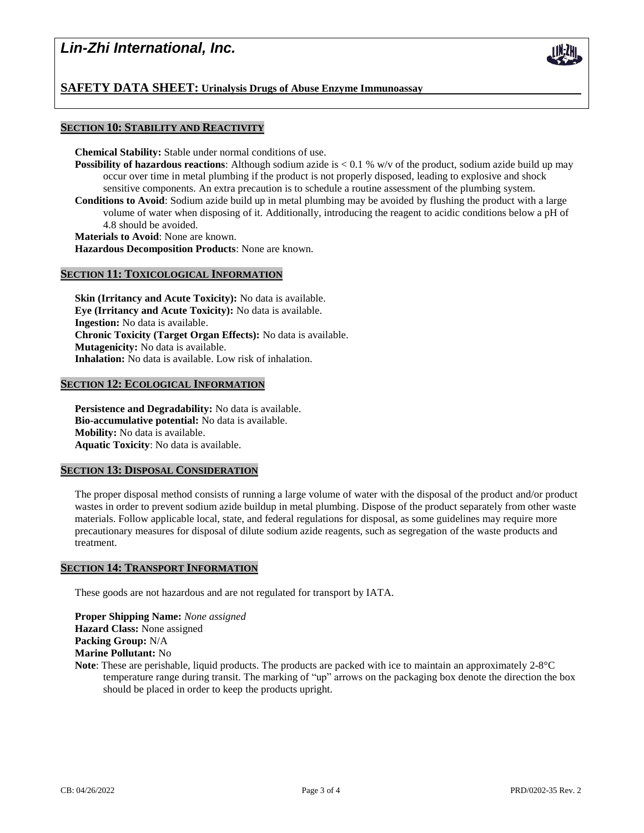# *Lin-Zhi International, Inc.*

## **SAFETY DATA SHEET: Urinalysis Drugs of Abuse Enzyme Immunoassay**

## **SECTION 10: STABILITY AND REACTIVITY**

**Chemical Stability:** Stable under normal conditions of use.

- **Possibility of hazardous reactions**: Although sodium azide is < 0.1 % w/v of the product, sodium azide build up may occur over time in metal plumbing if the product is not properly disposed, leading to explosive and shock sensitive components. An extra precaution is to schedule a routine assessment of the plumbing system.
- **Conditions to Avoid**: Sodium azide build up in metal plumbing may be avoided by flushing the product with a large volume of water when disposing of it. Additionally, introducing the reagent to acidic conditions below a pH of 4.8 should be avoided.

**Materials to Avoid**: None are known.

**Hazardous Decomposition Products**: None are known.

## **SECTION 11: TOXICOLOGICAL INFORMATION**

**Skin (Irritancy and Acute Toxicity):** No data is available. **Eye (Irritancy and Acute Toxicity):** No data is available. **Ingestion:** No data is available. **Chronic Toxicity (Target Organ Effects):** No data is available. **Mutagenicity:** No data is available. **Inhalation:** No data is available. Low risk of inhalation.

#### **SECTION 12: ECOLOGICAL INFORMATION**

**Persistence and Degradability:** No data is available. **Bio-accumulative potential:** No data is available. **Mobility:** No data is available. **Aquatic Toxicity**: No data is available.

### **SECTION 13: DISPOSAL CONSIDERATION**

The proper disposal method consists of running a large volume of water with the disposal of the product and/or product wastes in order to prevent sodium azide buildup in metal plumbing. Dispose of the product separately from other waste materials. Follow applicable local, state, and federal regulations for disposal, as some guidelines may require more precautionary measures for disposal of dilute sodium azide reagents, such as segregation of the waste products and treatment.

#### **SECTION 14: TRANSPORT INFORMATION**

These goods are not hazardous and are not regulated for transport by IATA.

**Proper Shipping Name:** *None assigned* **Hazard Class:** None assigned **Packing Group:** N/A **Marine Pollutant:** No

**Note**: These are perishable, liquid products. The products are packed with ice to maintain an approximately 2-8°C temperature range during transit. The marking of "up" arrows on the packaging box denote the direction the box should be placed in order to keep the products upright.